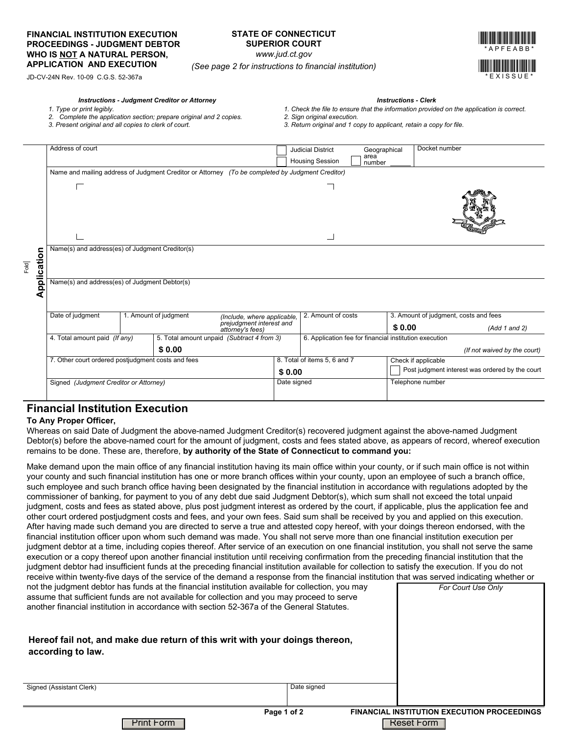### **FINANCIAL INSTITUTION EXECUTION PROCEEDINGS - JUDGMENT DEBTOR WHO IS NOT A NATURAL PERSON, APPLICATION AND EXECUTION** *(See page 2 for instructions to financial institution)*

## **STATE OF CONNECTICUT SUPERIOR COURT**

*www.jud.ct.gov*



JD-CV-24N Rev. 10-09 C.G.S. 52-367a

#### *Instructions - Judgment Creditor or Attorney Instructions - Clerk*

- *1. Type or print legibly.*
- *2. Complete the application section; prepare original and 2 copies.*
	-
- *3. Present original and all copies to clerk of court.*
- 
- *1. Check the file to ensure that the information provided on the application is correct.*
- *2. Sign original execution. 3. Return original and 1 copy to applicant, retain a copy for file.*

|                                                                                                                                                                                                                                                                                      | Address of court                                                                                 |                                              |                       |                                                                                                                                               |             | <b>Judicial District</b>                               | Geographical   | Docket number                                   |                                                                                                                                                |  |
|--------------------------------------------------------------------------------------------------------------------------------------------------------------------------------------------------------------------------------------------------------------------------------------|--------------------------------------------------------------------------------------------------|----------------------------------------------|-----------------------|-----------------------------------------------------------------------------------------------------------------------------------------------|-------------|--------------------------------------------------------|----------------|-------------------------------------------------|------------------------------------------------------------------------------------------------------------------------------------------------|--|
|                                                                                                                                                                                                                                                                                      |                                                                                                  |                                              |                       |                                                                                                                                               |             | <b>Housing Session</b>                                 | area<br>number |                                                 |                                                                                                                                                |  |
|                                                                                                                                                                                                                                                                                      | Name and mailing address of Judgment Creditor or Attorney (To be completed by Judgment Creditor) |                                              |                       |                                                                                                                                               |             |                                                        |                |                                                 |                                                                                                                                                |  |
|                                                                                                                                                                                                                                                                                      | Г                                                                                                |                                              |                       |                                                                                                                                               |             |                                                        |                |                                                 |                                                                                                                                                |  |
|                                                                                                                                                                                                                                                                                      |                                                                                                  |                                              |                       |                                                                                                                                               |             |                                                        |                |                                                 |                                                                                                                                                |  |
|                                                                                                                                                                                                                                                                                      |                                                                                                  |                                              |                       |                                                                                                                                               |             |                                                        |                |                                                 |                                                                                                                                                |  |
|                                                                                                                                                                                                                                                                                      |                                                                                                  |                                              |                       |                                                                                                                                               |             |                                                        |                |                                                 |                                                                                                                                                |  |
| Application                                                                                                                                                                                                                                                                          |                                                                                                  |                                              |                       |                                                                                                                                               |             |                                                        |                |                                                 |                                                                                                                                                |  |
|                                                                                                                                                                                                                                                                                      |                                                                                                  |                                              |                       |                                                                                                                                               |             |                                                        |                |                                                 |                                                                                                                                                |  |
|                                                                                                                                                                                                                                                                                      | Name(s) and address(es) of Judgment Creditor(s)                                                  |                                              |                       |                                                                                                                                               |             |                                                        |                |                                                 |                                                                                                                                                |  |
|                                                                                                                                                                                                                                                                                      |                                                                                                  |                                              |                       |                                                                                                                                               |             |                                                        |                |                                                 |                                                                                                                                                |  |
|                                                                                                                                                                                                                                                                                      |                                                                                                  |                                              |                       |                                                                                                                                               |             |                                                        |                |                                                 |                                                                                                                                                |  |
|                                                                                                                                                                                                                                                                                      | Name(s) and address(es) of Judgment Debtor(s)                                                    |                                              |                       |                                                                                                                                               |             |                                                        |                |                                                 |                                                                                                                                                |  |
|                                                                                                                                                                                                                                                                                      |                                                                                                  |                                              |                       |                                                                                                                                               |             |                                                        |                |                                                 |                                                                                                                                                |  |
|                                                                                                                                                                                                                                                                                      |                                                                                                  |                                              |                       |                                                                                                                                               |             |                                                        |                |                                                 |                                                                                                                                                |  |
|                                                                                                                                                                                                                                                                                      | Date of judgment                                                                                 |                                              | 1. Amount of judgment | (Include, where applicable,                                                                                                                   |             | 2. Amount of costs                                     |                | 3. Amount of judgment, costs and fees           |                                                                                                                                                |  |
|                                                                                                                                                                                                                                                                                      |                                                                                                  | prejudgment interest and<br>attorney's fees) |                       |                                                                                                                                               |             |                                                        |                | \$0.00                                          | (Add 1 and 2)                                                                                                                                  |  |
|                                                                                                                                                                                                                                                                                      | 4. Total amount paid (If any)                                                                    |                                              |                       | 5. Total amount unpaid (Subtract 4 from 3)                                                                                                    |             | 6. Application fee for financial institution execution |                |                                                 |                                                                                                                                                |  |
|                                                                                                                                                                                                                                                                                      |                                                                                                  |                                              | \$0.00                |                                                                                                                                               |             |                                                        |                |                                                 | (If not waived by the court)                                                                                                                   |  |
|                                                                                                                                                                                                                                                                                      | 7. Other court ordered postjudgment costs and fees                                               |                                              |                       |                                                                                                                                               |             | 8. Total of items 5, 6 and 7                           |                | Check if applicable                             |                                                                                                                                                |  |
|                                                                                                                                                                                                                                                                                      |                                                                                                  |                                              |                       |                                                                                                                                               | \$0.00      |                                                        |                | Post judgment interest was ordered by the court |                                                                                                                                                |  |
|                                                                                                                                                                                                                                                                                      | Signed (Judgment Creditor or Attorney)                                                           |                                              |                       |                                                                                                                                               | Date signed |                                                        |                | Telephone number                                |                                                                                                                                                |  |
|                                                                                                                                                                                                                                                                                      |                                                                                                  |                                              |                       |                                                                                                                                               |             |                                                        |                |                                                 |                                                                                                                                                |  |
|                                                                                                                                                                                                                                                                                      |                                                                                                  |                                              |                       |                                                                                                                                               |             |                                                        |                |                                                 |                                                                                                                                                |  |
|                                                                                                                                                                                                                                                                                      | <b>Financial Institution Execution</b>                                                           |                                              |                       |                                                                                                                                               |             |                                                        |                |                                                 |                                                                                                                                                |  |
|                                                                                                                                                                                                                                                                                      | To Any Proper Officer,                                                                           |                                              |                       |                                                                                                                                               |             |                                                        |                |                                                 |                                                                                                                                                |  |
|                                                                                                                                                                                                                                                                                      |                                                                                                  |                                              |                       | Whereas on said Date of Judgment the above-named Judgment Creditor(s) recovered judgment against the above-named Judgment                     |             |                                                        |                |                                                 |                                                                                                                                                |  |
|                                                                                                                                                                                                                                                                                      |                                                                                                  |                                              |                       | remains to be done. These are, therefore, by authority of the State of Connecticut to command you:                                            |             |                                                        |                |                                                 | Debtor(s) before the above-named court for the amount of judgment, costs and fees stated above, as appears of record, whereof execution        |  |
|                                                                                                                                                                                                                                                                                      |                                                                                                  |                                              |                       |                                                                                                                                               |             |                                                        |                |                                                 |                                                                                                                                                |  |
|                                                                                                                                                                                                                                                                                      |                                                                                                  |                                              |                       |                                                                                                                                               |             |                                                        |                |                                                 | Make demand upon the main office of any financial institution having its main office within your county, or if such main office is not within  |  |
|                                                                                                                                                                                                                                                                                      |                                                                                                  |                                              |                       |                                                                                                                                               |             |                                                        |                |                                                 | your county and such financial institution has one or more branch offices within your county, upon an employee of such a branch office,        |  |
|                                                                                                                                                                                                                                                                                      |                                                                                                  |                                              |                       |                                                                                                                                               |             |                                                        |                |                                                 | such employee and such branch office having been designated by the financial institution in accordance with regulations adopted by the         |  |
|                                                                                                                                                                                                                                                                                      |                                                                                                  |                                              |                       | commissioner of banking, for payment to you of any debt due said Judgment Debtor(s), which sum shall not exceed the total unpaid              |             |                                                        |                |                                                 |                                                                                                                                                |  |
|                                                                                                                                                                                                                                                                                      |                                                                                                  |                                              |                       |                                                                                                                                               |             |                                                        |                |                                                 | judgment, costs and fees as stated above, plus post judgment interest as ordered by the court, if applicable, plus the application fee and     |  |
| other court ordered postjudgment costs and fees, and your own fees. Said sum shall be received by you and applied on this execution.<br>After having made such demand you are directed to serve a true and attested copy hereof, with your doings thereon endorsed, with the         |                                                                                                  |                                              |                       |                                                                                                                                               |             |                                                        |                |                                                 |                                                                                                                                                |  |
|                                                                                                                                                                                                                                                                                      |                                                                                                  |                                              |                       |                                                                                                                                               |             |                                                        |                |                                                 |                                                                                                                                                |  |
| financial institution officer upon whom such demand was made. You shall not serve more than one financial institution execution per<br>judgment debtor at a time, including copies thereof. After service of an execution on one financial institution, you shall not serve the same |                                                                                                  |                                              |                       |                                                                                                                                               |             |                                                        |                |                                                 |                                                                                                                                                |  |
|                                                                                                                                                                                                                                                                                      |                                                                                                  |                                              |                       |                                                                                                                                               |             |                                                        |                |                                                 |                                                                                                                                                |  |
|                                                                                                                                                                                                                                                                                      |                                                                                                  |                                              |                       | execution or a copy thereof upon another financial institution until receiving confirmation from the preceding financial institution that the |             |                                                        |                |                                                 | judgment debtor had insufficient funds at the preceding financial institution available for collection to satisfy the execution. If you do not |  |
|                                                                                                                                                                                                                                                                                      |                                                                                                  |                                              |                       |                                                                                                                                               |             |                                                        |                |                                                 |                                                                                                                                                |  |
| receive within twenty-five days of the service of the demand a response from the financial institution that was served indicating whether or<br>not the judgment debtor has funds at the financial institution available for collection, you may<br>For Court Use Only               |                                                                                                  |                                              |                       |                                                                                                                                               |             |                                                        |                |                                                 |                                                                                                                                                |  |
| assume that sufficient funds are not available for collection and you may proceed to serve                                                                                                                                                                                           |                                                                                                  |                                              |                       |                                                                                                                                               |             |                                                        |                |                                                 |                                                                                                                                                |  |
|                                                                                                                                                                                                                                                                                      |                                                                                                  |                                              |                       | another financial institution in accordance with section 52-367a of the General Statutes.                                                     |             |                                                        |                |                                                 |                                                                                                                                                |  |
|                                                                                                                                                                                                                                                                                      |                                                                                                  |                                              |                       |                                                                                                                                               |             |                                                        |                |                                                 |                                                                                                                                                |  |
|                                                                                                                                                                                                                                                                                      |                                                                                                  |                                              |                       |                                                                                                                                               |             |                                                        |                |                                                 |                                                                                                                                                |  |
| Hereof fail not, and make due return of this writ with your doings thereon,                                                                                                                                                                                                          |                                                                                                  |                                              |                       |                                                                                                                                               |             |                                                        |                |                                                 |                                                                                                                                                |  |
|                                                                                                                                                                                                                                                                                      |                                                                                                  |                                              |                       |                                                                                                                                               |             |                                                        |                |                                                 |                                                                                                                                                |  |
|                                                                                                                                                                                                                                                                                      | according to law.                                                                                |                                              |                       |                                                                                                                                               |             |                                                        |                |                                                 |                                                                                                                                                |  |

### **Financial Institution Execution**

#### **To Any Proper Officer,**

 $\overline{A}$ 

### **Hereof fail not, and make due return of this writ with your doings thereon,** according to law.

Signed (Assistant Clerk)

Date signed

**Page 1 of 2 FINANCIAL INSTITUTION EXECUTION PROCEEDINGS Print Form Reset Form Reset Form Reset Form Reset Form Reset Form Reset Form Reset Form Reset Form Reset Form**